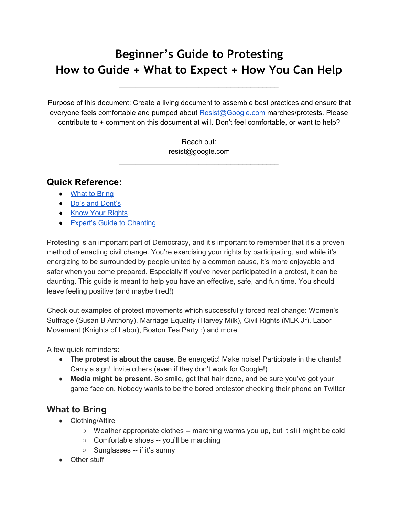# **Beginner's Guide to Protesting How to Guide + What to Expect + How You Can Help**

\_\_\_\_\_\_\_\_\_\_\_\_\_\_\_\_\_\_\_\_\_\_\_\_\_\_\_\_\_\_\_\_\_\_\_\_\_\_\_\_

Purpose of this document: Create a living document to assemble best practices and ensure that everyone feels comfortable and pumped about [Resist@Google.com](mailto:Resist@Google.com) marches/protests. Please contribute to + comment on this document at will. Don't feel comfortable, or want to help?

> Reach out: resist@google.com

\_\_\_\_\_\_\_\_\_\_\_\_\_\_\_\_\_\_\_\_\_\_\_\_\_\_\_\_\_\_\_\_\_\_\_\_\_\_\_\_

#### **Quick Reference:**

- What to [Bring](#page-0-0)
- Do's and [Dont's](#page-1-0)
- Know Your [Rights](#page-2-0)
- Expert's Guide to [Chanting](#page-2-1)

Protesting is an important part of Democracy, and it's important to remember that it's a proven method of enacting civil change. You're exercising your rights by participating, and while it's energizing to be surrounded by people united by a common cause, it's more enjoyable and safer when you come prepared. Especially if you've never participated in a protest, it can be daunting. This guide is meant to help you have an effective, safe, and fun time. You should leave feeling positive (and maybe tired!)

Check out examples of protest movements which successfully forced real change: Women's Suffrage (Susan B Anthony), Marriage Equality (Harvey Milk), Civil Rights (MLK Jr), Labor Movement (Knights of Labor), Boston Tea Party :) and more.

A few quick reminders:

- **The protest is about the cause**. Be energetic! Make noise! Participate in the chants! Carry a sign! Invite others (even if they don't work for Google!)
- **Media might be present**. So smile, get that hair done, and be sure you've got your game face on. Nobody wants to be the bored protestor checking their phone on Twitter

#### <span id="page-0-0"></span>**What to Bring**

- Clothing/Attire
	- $\circ$  Weather appropriate clothes  $-$  marching warms you up, but it still might be cold
	- Comfortable shoes -- you'll be marching
	- Sunglasses -- if it's sunny
- Other stuff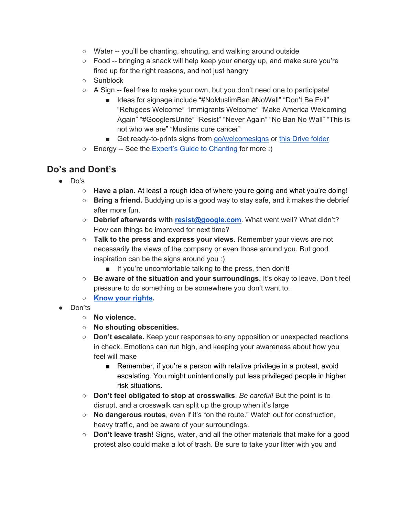- Water -- you'll be chanting, shouting, and walking around outside
- Food -- bringing a snack will help keep your energy up, and make sure you're fired up for the right reasons, and not just hangry
- Sunblock
- $\circ$  A Sign -- feel free to make your own, but you don't need one to participate!
	- Ideas for signage include "#NoMuslimBan #NoWall" "Don't Be Evil" "Refugees Welcome" "Immigrants Welcome" "Make America Welcoming Again" "#GooglersUnite" "Resist" "Never Again" "No Ban No Wall" "This is not who we are" "Muslims cure cancer"
	- Get ready-to-prints signs from [go/welcomesigns](https://drive.google.com/corp/drive/folders/0B2AJYB3Ngny9cW1paGt4OGtka2c) or this Drive [folder](https://drive.google.com/drive/folders/0B6pfDX6vENgyNzJweC1hM1VtWWM?usp=sharing)
- Energy -- See the Expert's Guide to [Chanting](#page-2-1) for more :)

## <span id="page-1-0"></span>**Do's and Dont's**

- Do's
	- **Have a plan.** At least a rough idea of where you're going and what you're doing!
	- **Bring a friend.** Buddying up is a good way to stay safe, and it makes the debrief after more fun.
	- **Debrief afterwards with [resist@google.com](mailto:resist@google.com)**. What went well? What didn't? How can things be improved for next time?
	- **Talk to the press and express your views**. Remember your views are not necessarily the views of the company or even those around you. But good inspiration can be the signs around you :)
		- If you're uncomfortable talking to the press, then don't!
	- **Be aware of the situation and your surroundings.** It's okay to leave. Don't feel pressure to do something or be somewhere you don't want to.
	- **○ Know your [rights](#page-2-0).**
- Don'ts
	- **○ No violence.**
	- **○ No shouting obscenities.**
	- **○ Don't escalate.** Keep your responses to any opposition or unexpected reactions in check. Emotions can run high, and keeping your awareness about how you feel will make
		- Remember, if you're a person with relative privilege in a protest, avoid escalating. You might unintentionally put less privileged people in higher risk situations.
	- **Don't feel obligated to stop at crosswalks**. *Be careful!* But the point is to disrupt, and a crosswalk can split up the group when it's large
	- **No dangerous routes**, even if it's "on the route." Watch out for construction, heavy traffic, and be aware of your surroundings.
	- **Don't leave trash!** Signs, water, and all the other materials that make for a good protest also could make a lot of trash. Be sure to take your litter with you and